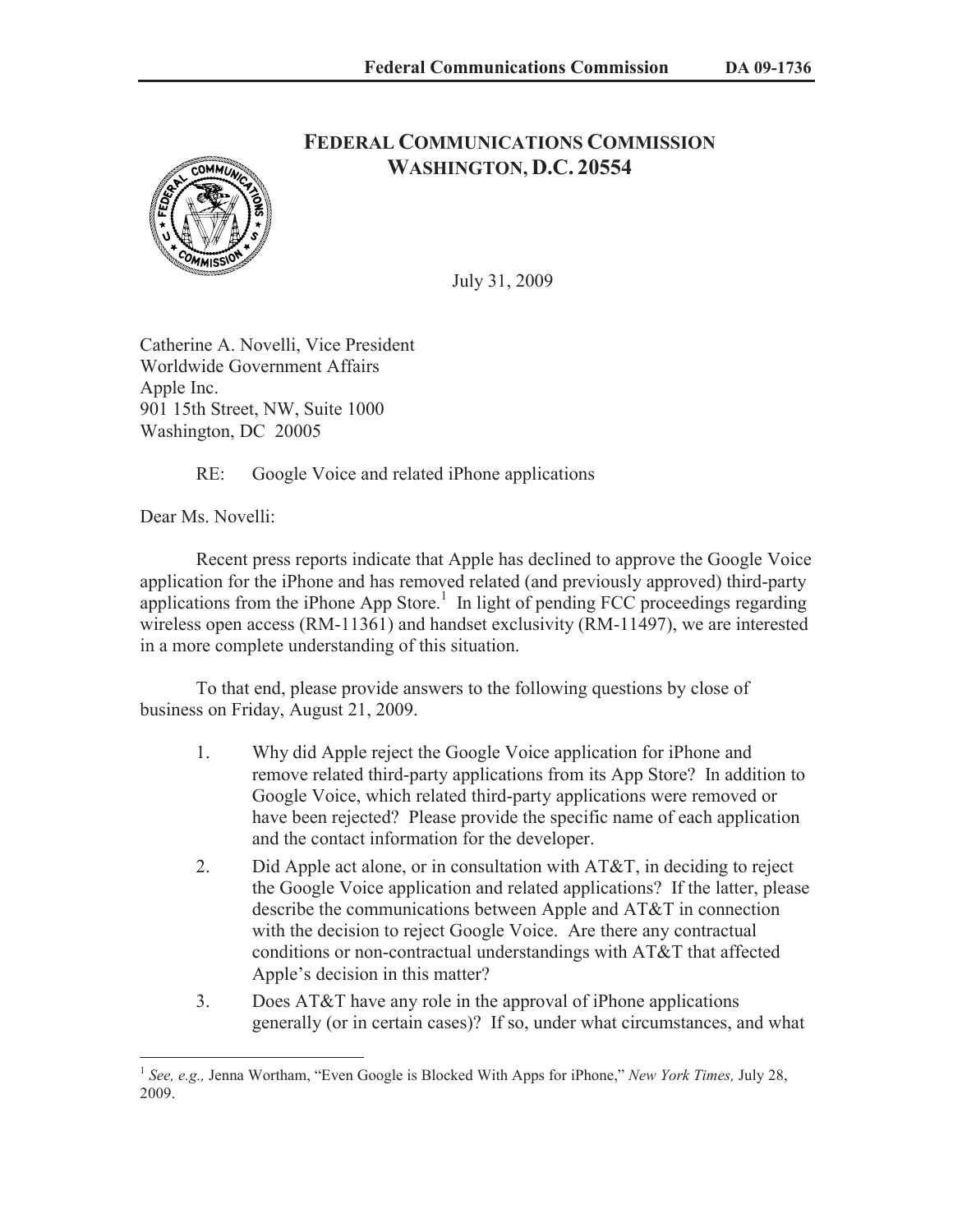

## **FEDERAL COMMUNICATIONS COMMISSION WASHINGTON, D.C. 20554**

July 31, 2009

Catherine A. Novelli, Vice President Worldwide Government Affairs Apple Inc. 901 15th Street, NW, Suite 1000 Washington, DC 20005

RE: Google Voice and related iPhone applications

Dear Ms. Novelli:

Recent press reports indicate that Apple has declined to approve the Google Voice application for the iPhone and has removed related (and previously approved) third-party applications from the iPhone App Store.<sup>1</sup> In light of pending FCC proceedings regarding wireless open access (RM-11361) and handset exclusivity (RM-11497), we are interested in a more complete understanding of this situation.

To that end, please provide answers to the following questions by close of business on Friday, August 21, 2009.

- 1. Why did Apple reject the Google Voice application for iPhone and remove related third-party applications from its App Store? In addition to Google Voice, which related third-party applications were removed or have been rejected? Please provide the specific name of each application and the contact information for the developer.
- 2. Did Apple act alone, or in consultation with AT&T, in deciding to reject the Google Voice application and related applications? If the latter, please describe the communications between Apple and AT&T in connection with the decision to reject Google Voice. Are there any contractual conditions or non-contractual understandings with AT&T that affected Apple's decision in this matter?
- 3. Does AT&T have any role in the approval of iPhone applications generally (or in certain cases)? If so, under what circumstances, and what

<sup>1</sup> *See, e.g.,* Jenna Wortham, "Even Google is Blocked With Apps for iPhone," *New York Times,* July 28, 2009.